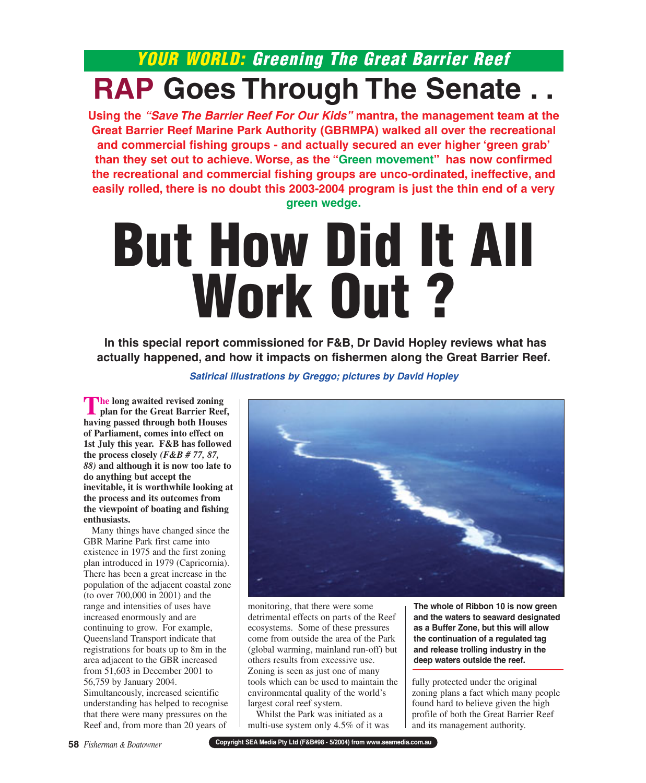# **YOUR WORLD: Greening The Great Barrier Reef RAP Goes Through The Senate . .**

**Using the "Save The Barrier Reef For Our Kids" mantra, the management team at the Great Barrier Reef Marine Park Authority (GBRMPA) walked all over the recreational and commercial fishing groups - and actually secured an ever higher 'green grab' than they set out to achieve. Worse, as the "Green movement" has now confirmed the recreational and commercial fishing groups are unco-ordinated, ineffective, and easily rolled, there is no doubt this 2003-2004 program is just the thin end of a very green wedge.**

# **But How Did It All Work Out ?**

**In this special report commissioned for F&B, Dr David Hopley reviews what has actually happened, and how it impacts on fishermen along the Great Barrier Reef.**

## **Satirical illustrations by Greggo; pictures by David Hopley**

**The long awaited revised zoning plan for the Great Barrier Reef, having passed through both Houses of Parliament, comes into effect on 1st July this year. F&B has followed the process closely** *(F&B # 77, 87, 88)* **and although it is now too late to do anything but accept the inevitable, it is worthwhile looking at the process and its outcomes from the viewpoint of boating and fishing enthusiasts.**

Many things have changed since the GBR Marine Park first came into existence in 1975 and the first zoning plan introduced in 1979 (Capricornia). There has been a great increase in the population of the adjacent coastal zone (to over 700,000 in 2001) and the range and intensities of uses have increased enormously and are continuing to grow. For example, Queensland Transport indicate that registrations for boats up to 8m in the area adjacent to the GBR increased from 51,603 in December 2001 to 56,759 by January 2004. Simultaneously, increased scientific understanding has helped to recognise that there were many pressures on the Reef and, from more than 20 years of



monitoring, that there were some detrimental effects on parts of the Reef ecosystems. Some of these pressures come from outside the area of the Park (global warming, mainland run-off) but others results from excessive use. Zoning is seen as just one of many tools which can be used to maintain the environmental quality of the world's largest coral reef system.

Whilst the Park was initiated as a multi-use system only 4.5% of it was **The whole of Ribbon 10 is now green and the waters to seaward designated as a Buffer Zone, but this will allow the continuation of a regulated tag and release trolling industry in the deep waters outside the reef.**

fully protected under the original zoning plans a fact which many people found hard to believe given the high profile of both the Great Barrier Reef and its management authority.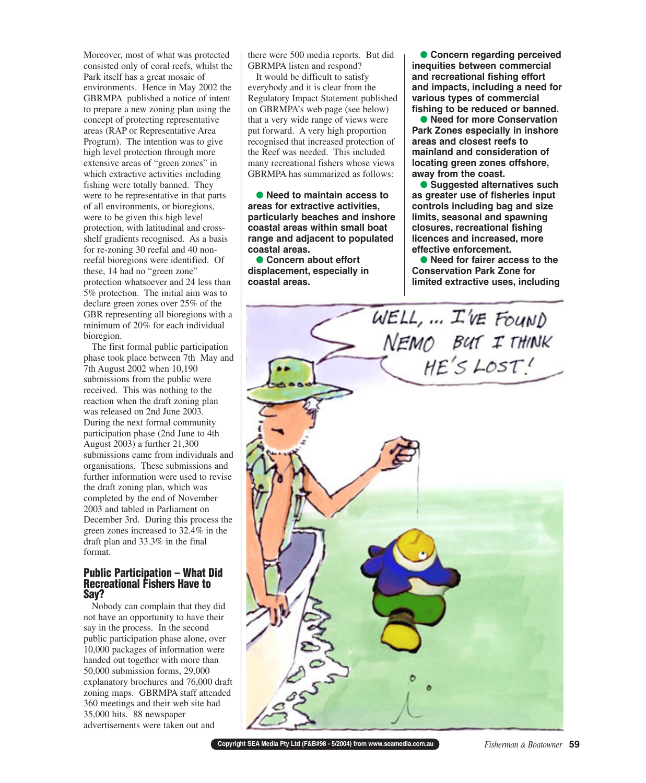Moreover, most of what was protected consisted only of coral reefs, whilst the Park itself has a great mosaic of environments. Hence in May 2002 the GBRMPA published a notice of intent to prepare a new zoning plan using the concept of protecting representative areas (RAP or Representative Area Program). The intention was to give high level protection through more extensive areas of "green zones" in which extractive activities including fishing were totally banned. They were to be representative in that parts of all environments, or bioregions, were to be given this high level protection, with latitudinal and crossshelf gradients recognised. As a basis for re-zoning 30 reefal and 40 nonreefal bioregions were identified. Of these, 14 had no "green zone" protection whatsoever and 24 less than 5% protection. The initial aim was to declare green zones over 25% of the GBR representing all bioregions with a minimum of 20% for each individual bioregion.

The first formal public participation phase took place between 7th May and 7th August 2002 when 10,190 submissions from the public were received. This was nothing to the reaction when the draft zoning plan was released on 2nd June 2003. During the next formal community participation phase (2nd June to 4th August 2003) a further 21,300 submissions came from individuals and organisations. These submissions and further information were used to revise the draft zoning plan, which was completed by the end of November 2003 and tabled in Parliament on December 3rd. During this process the green zones increased to 32.4% in the draft plan and 33.3% in the final format.

#### **Public Participation – What Did Recreational Fishers Have to Say?**

Nobody can complain that they did not have an opportunity to have their say in the process. In the second public participation phase alone, over 10,000 packages of information were handed out together with more than 50,000 submission forms, 29,000 explanatory brochures and 76,000 draft zoning maps. GBRMPA staff attended 360 meetings and their web site had 35,000 hits. 88 newspaper advertisements were taken out and

there were 500 media reports. But did GBRMPA listen and respond?

It would be difficult to satisfy everybody and it is clear from the Regulatory Impact Statement published on GBRMPA's web page (see below) that a very wide range of views were put forward. A very high proportion recognised that increased protection of the Reef was needed. This included many recreational fishers whose views GBRMPA has summarized as follows:

● **Need to maintain access to areas for extractive activities, particularly beaches and inshore coastal areas within small boat range and adjacent to populated coastal areas.**

● Concern about effort **displacement, especially in coastal areas.**

● **Concern regarding perceived inequities between commercial and recreational fishing effort and impacts, including a need for various types of commercial fishing to be reduced or banned.**

● **Need for more Conservation Park Zones especially in inshore areas and closest reefs to mainland and consideration of locating green zones offshore, away from the coast.**

● **Suggested alternatives such as greater use of fisheries input controls including bag and size limits, seasonal and spawning closures, recreational fishing licences and increased, more effective enforcement.**

● **Need for fairer access to the Conservation Park Zone for limited extractive uses, including**



**Copyright SEA Media Pty Ltd (F&B#98 - 5/2004) from www.seamedia.com.au** *Fisherman & Boatowner* **59**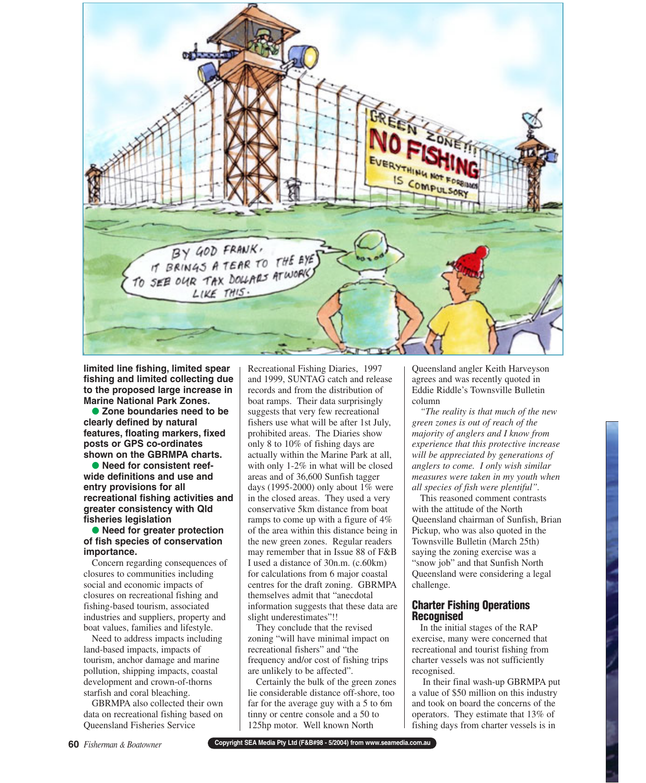

**limited line fishing, limited spear fishing and limited collecting due to the proposed large increase in Marine National Park Zones.**

● **Zone boundaries need to be clearly defined by natural features, floating markers, fixed posts or GPS co-ordinates shown on the GBRMPA charts.**

● **Need for consistent reefwide definitions and use and entry provisions for all recreational fishing activities and greater consistency with Qld fisheries legislation**

#### ● **Need for greater protection of fish species of conservation importance.**

Concern regarding consequences of closures to communities including social and economic impacts of closures on recreational fishing and fishing-based tourism, associated industries and suppliers, property and boat values, families and lifestyle.

Need to address impacts including land-based impacts, impacts of tourism, anchor damage and marine pollution, shipping impacts, coastal development and crown-of-thorns starfish and coral bleaching.

GBRMPA also collected their own data on recreational fishing based on Queensland Fisheries Service

Recreational Fishing Diaries, 1997 and 1999, SUNTAG catch and release records and from the distribution of boat ramps. Their data surprisingly suggests that very few recreational fishers use what will be after 1st July, prohibited areas. The Diaries show only 8 to 10% of fishing days are actually within the Marine Park at all, with only 1-2% in what will be closed areas and of 36,600 Sunfish tagger days (1995-2000) only about  $1\%$  were in the closed areas. They used a very conservative 5km distance from boat ramps to come up with a figure of 4% of the area within this distance being in the new green zones. Regular readers may remember that in Issue 88 of F&B I used a distance of 30n.m. (c.60km) for calculations from 6 major coastal centres for the draft zoning. GBRMPA themselves admit that "anecdotal information suggests that these data are slight underestimates"!!

They conclude that the revised zoning "will have minimal impact on recreational fishers" and "the frequency and/or cost of fishing trips are unlikely to be affected".

Certainly the bulk of the green zones lie considerable distance off-shore, too far for the average guy with a 5 to 6m tinny or centre console and a 50 to 125hp motor. Well known North

Queensland angler Keith Harveyson agrees and was recently quoted in Eddie Riddle's Townsville Bulletin column

*"The reality is that much of the new green zones is out of reach of the majority of anglers and I know from experience that this protective increase will be appreciated by generations of anglers to come. I only wish similar measures were taken in my youth when all species of fish were plentiful".* 

This reasoned comment contrasts with the attitude of the North Queensland chairman of Sunfish, Brian Pickup, who was also quoted in the Townsville Bulletin (March 25th) saying the zoning exercise was a "snow job" and that Sunfish North Queensland were considering a legal challenge.

# **Charter Fishing Operations Recognised**

In the initial stages of the RAP exercise, many were concerned that recreational and tourist fishing from charter vessels was not sufficiently recognised.

In their final wash-up GBRMPA put a value of \$50 million on this industry and took on board the concerns of the operators. They estimate that 13% of fishing days from charter vessels is in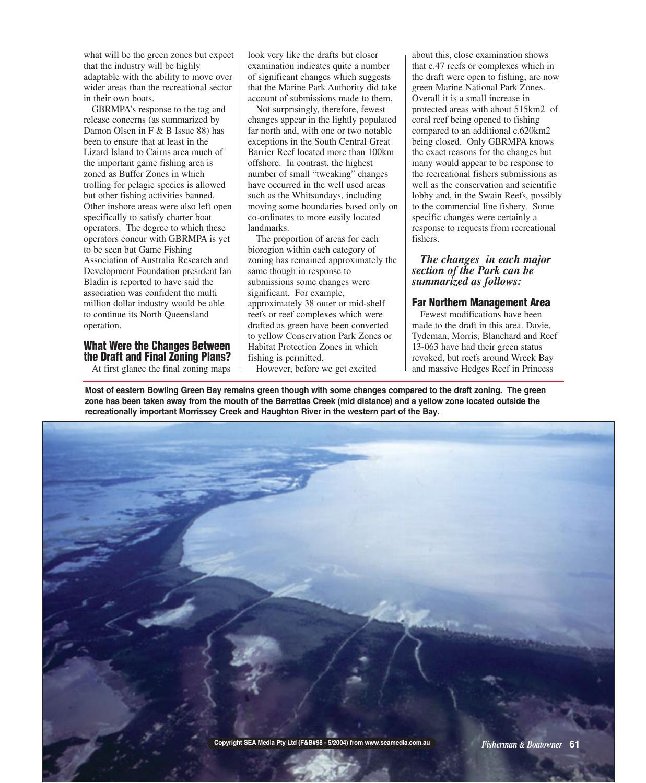what will be the green zones but expect that the industry will be highly adaptable with the ability to move over wider areas than the recreational sector in their own boats.

GBRMPA's response to the tag and release concerns (as summarized by Damon Olsen in F & B Issue 88) has been to ensure that at least in the Lizard Island to Cairns area much of the important game fishing area is zoned as Buffer Zones in which trolling for pelagic species is allowed but other fishing activities banned. Other inshore areas were also left open specifically to satisfy charter boat operators. The degree to which these operators concur with GBRMPA is yet to be seen but Game Fishing Association of Australia Research and Development Foundation president Ian Bladin is reported to have said the association was confident the multi million dollar industry would be able to continue its North Queensland operation.

# **What Were the Changes Between the Draft and Final Zoning Plans?**

At first glance the final zoning maps

look very like the drafts but closer examination indicates quite a number of significant changes which suggests that the Marine Park Authority did take account of submissions made to them.

Not surprisingly, therefore, fewest changes appear in the lightly populated far north and, with one or two notable exceptions in the South Central Great Barrier Reef located more than 100km offshore. In contrast, the highest number of small "tweaking" changes have occurred in the well used areas such as the Whitsundays, including moving some boundaries based only on co-ordinates to more easily located landmarks.

The proportion of areas for each bioregion within each category of zoning has remained approximately the same though in response to submissions some changes were significant. For example, approximately 38 outer or mid-shelf reefs or reef complexes which were drafted as green have been converted to yellow Conservation Park Zones or Habitat Protection Zones in which fishing is permitted.

However, before we get excited

about this, close examination shows that c.47 reefs or complexes which in the draft were open to fishing, are now green Marine National Park Zones. Overall it is a small increase in protected areas with about 515km2 of coral reef being opened to fishing compared to an additional c.620km2 being closed. Only GBRMPA knows the exact reasons for the changes but many would appear to be response to the recreational fishers submissions as well as the conservation and scientific lobby and, in the Swain Reefs, possibly to the commercial line fishery. Some specific changes were certainly a response to requests from recreational fishers.

## *The changes in each major section of the Park can be summarized as follows:*

# **Far Northern Management Area**

Fewest modifications have been made to the draft in this area. Davie, Tydeman, Morris, Blanchard and Reef 13-063 have had their green status revoked, but reefs around Wreck Bay and massive Hedges Reef in Princess

**Most of eastern Bowling Green Bay remains green though with some changes compared to the draft zoning. The green zone has been taken away from the mouth of the Barrattas Creek (mid distance) and a yellow zone located outside the recreationally important Morrissey Creek and Haughton River in the western part of the Bay.** 

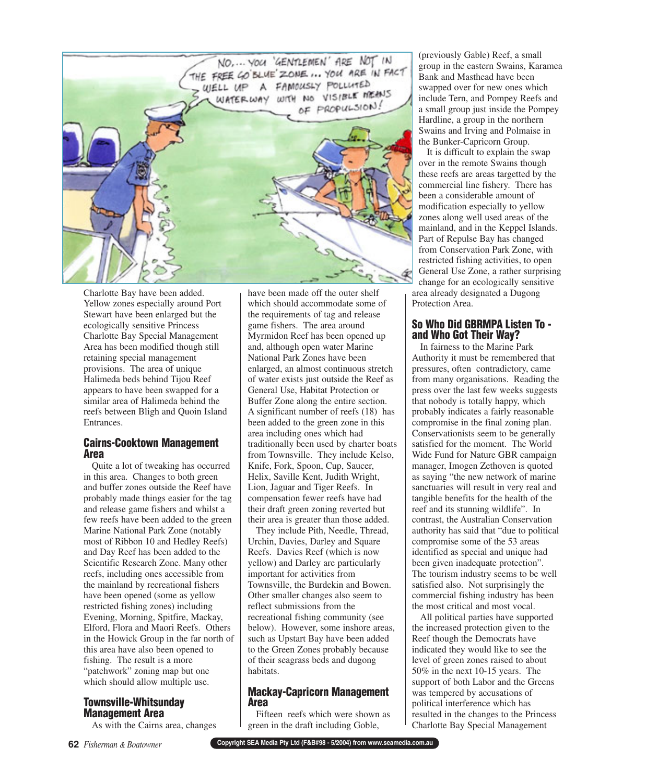

Charlotte Bay have been added. Yellow zones especially around Port Stewart have been enlarged but the ecologically sensitive Princess Charlotte Bay Special Management Area has been modified though still retaining special management provisions. The area of unique Halimeda beds behind Tijou Reef appears to have been swapped for a similar area of Halimeda behind the reefs between Bligh and Quoin Island Entrances.

#### **Cairns-Cooktown Management Area**

Quite a lot of tweaking has occurred in this area. Changes to both green and buffer zones outside the Reef have probably made things easier for the tag and release game fishers and whilst a few reefs have been added to the green Marine National Park Zone (notably most of Ribbon 10 and Hedley Reefs) and Day Reef has been added to the Scientific Research Zone. Many other reefs, including ones accessible from the mainland by recreational fishers have been opened (some as yellow restricted fishing zones) including Evening, Morning, Spitfire, Mackay, Elford, Flora and Maori Reefs. Others in the Howick Group in the far north of this area have also been opened to fishing. The result is a more "patchwork" zoning map but one which should allow multiple use.

# **Townsville-Whitsunday Management Area**

As with the Cairns area, changes

have been made off the outer shelf which should accommodate some of the requirements of tag and release game fishers. The area around Myrmidon Reef has been opened up and, although open water Marine National Park Zones have been enlarged, an almost continuous stretch of water exists just outside the Reef as General Use, Habitat Protection or Buffer Zone along the entire section. A significant number of reefs (18) has been added to the green zone in this area including ones which had traditionally been used by charter boats from Townsville. They include Kelso, Knife, Fork, Spoon, Cup, Saucer, Helix, Saville Kent, Judith Wright, Lion, Jaguar and Tiger Reefs. In compensation fewer reefs have had their draft green zoning reverted but their area is greater than those added.

They include Pith, Needle, Thread, Urchin, Davies, Darley and Square Reefs. Davies Reef (which is now yellow) and Darley are particularly important for activities from Townsville, the Burdekin and Bowen. Other smaller changes also seem to reflect submissions from the recreational fishing community (see below). However, some inshore areas, such as Upstart Bay have been added to the Green Zones probably because of their seagrass beds and dugong habitats.

# **Mackay-Capricorn Management Area**

Fifteen reefs which were shown as green in the draft including Goble,

(previously Gable) Reef, a small group in the eastern Swains, Karamea Bank and Masthead have been swapped over for new ones which include Tern, and Pompey Reefs and a small group just inside the Pompey Hardline, a group in the northern Swains and Irving and Polmaise in the Bunker-Capricorn Group.

It is difficult to explain the swap over in the remote Swains though these reefs are areas targetted by the commercial line fishery. There has been a considerable amount of modification especially to yellow zones along well used areas of the mainland, and in the Keppel Islands. Part of Repulse Bay has changed from Conservation Park Zone, with restricted fishing activities, to open General Use Zone, a rather surprising change for an ecologically sensitive area already designated a Dugong Protection Area.

# **So Who Did GBRMPA Listen To and Who Got Their Way?**

In fairness to the Marine Park Authority it must be remembered that pressures, often contradictory, came from many organisations. Reading the press over the last few weeks suggests that nobody is totally happy, which probably indicates a fairly reasonable compromise in the final zoning plan. Conservationists seem to be generally satisfied for the moment. The World Wide Fund for Nature GBR campaign manager, Imogen Zethoven is quoted as saying "the new network of marine sanctuaries will result in very real and tangible benefits for the health of the reef and its stunning wildlife". In contrast, the Australian Conservation authority has said that "due to political compromise some of the 53 areas identified as special and unique had been given inadequate protection". The tourism industry seems to be well satisfied also. Not surprisingly the commercial fishing industry has been the most critical and most vocal.

All political parties have supported the increased protection given to the Reef though the Democrats have indicated they would like to see the level of green zones raised to about 50% in the next 10-15 years. The support of both Labor and the Greens was tempered by accusations of political interference which has resulted in the changes to the Princess Charlotte Bay Special Management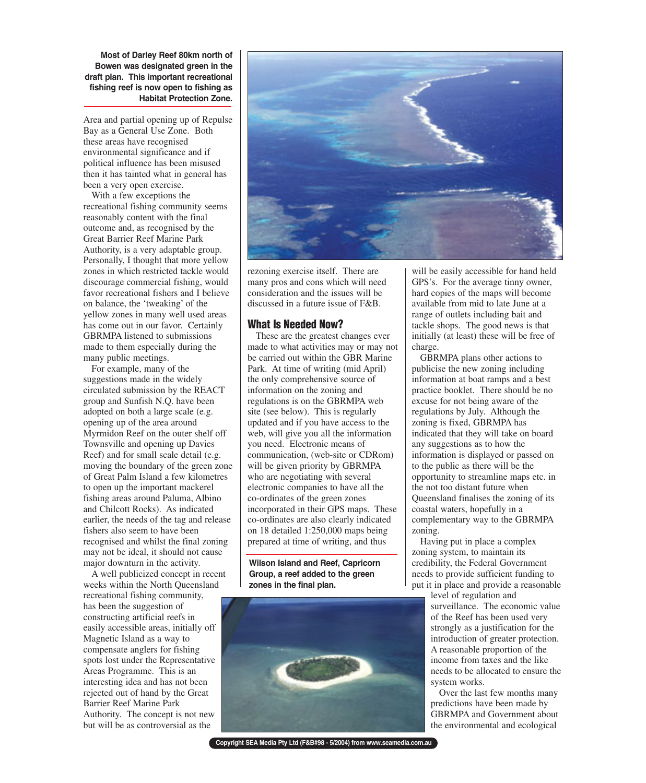**Most of Darley Reef 80km north of Bowen was designated green in the draft plan. This important recreational fishing reef is now open to fishing as Habitat Protection Zone.**

Area and partial opening up of Repulse Bay as a General Use Zone. Both these areas have recognised environmental significance and if political influence has been misused then it has tainted what in general has been a very open exercise.

With a few exceptions the recreational fishing community seems reasonably content with the final outcome and, as recognised by the Great Barrier Reef Marine Park Authority, is a very adaptable group. Personally, I thought that more yellow zones in which restricted tackle would discourage commercial fishing, would favor recreational fishers and I believe on balance, the 'tweaking' of the yellow zones in many well used areas has come out in our favor. Certainly GBRMPA listened to submissions made to them especially during the many public meetings.

For example, many of the suggestions made in the widely circulated submission by the REACT group and Sunfish N.Q. have been adopted on both a large scale (e.g. opening up of the area around Myrmidon Reef on the outer shelf off Townsville and opening up Davies Reef) and for small scale detail (e.g. moving the boundary of the green zone of Great Palm Island a few kilometres to open up the important mackerel fishing areas around Paluma, Albino and Chilcott Rocks). As indicated earlier, the needs of the tag and release fishers also seem to have been recognised and whilst the final zoning may not be ideal, it should not cause major downturn in the activity.

A well publicized concept in recent weeks within the North Queensland recreational fishing community, has been the suggestion of constructing artificial reefs in easily accessible areas, initially off Magnetic Island as a way to compensate anglers for fishing spots lost under the Representative Areas Programme. This is an interesting idea and has not been rejected out of hand by the Great Barrier Reef Marine Park Authority. The concept is not new but will be as controversial as the



rezoning exercise itself. There are many pros and cons which will need consideration and the issues will be discussed in a future issue of F&B.

#### **What Is Needed Now?**

These are the greatest changes ever made to what activities may or may not be carried out within the GBR Marine Park. At time of writing (mid April) the only comprehensive source of information on the zoning and regulations is on the GBRMPA web site (see below). This is regularly updated and if you have access to the web, will give you all the information you need. Electronic means of communication, (web-site or CDRom) will be given priority by GBRMPA who are negotiating with several electronic companies to have all the co-ordinates of the green zones incorporated in their GPS maps. These co-ordinates are also clearly indicated on 18 detailed 1:250,000 maps being prepared at time of writing, and thus

**Wilson Island and Reef, Capricorn Group, a reef added to the green zones in the final plan.**



**Copyright SEA Media Pty Ltd (F&B#98 - 5/2004) from www.seamedia.com.au**

will be easily accessible for hand held GPS's. For the average tinny owner, hard copies of the maps will become available from mid to late June at a range of outlets including bait and tackle shops. The good news is that initially (at least) these will be free of charge.

GBRMPA plans other actions to publicise the new zoning including information at boat ramps and a best practice booklet. There should be no excuse for not being aware of the regulations by July. Although the zoning is fixed, GBRMPA has indicated that they will take on board any suggestions as to how the information is displayed or passed on to the public as there will be the opportunity to streamline maps etc. in the not too distant future when Queensland finalises the zoning of its coastal waters, hopefully in a complementary way to the GBRMPA zoning.

Having put in place a complex zoning system, to maintain its credibility, the Federal Government needs to provide sufficient funding to put it in place and provide a reasonable

level of regulation and surveillance. The economic value of the Reef has been used very strongly as a justification for the introduction of greater protection. A reasonable proportion of the income from taxes and the like needs to be allocated to ensure the system works.

Over the last few months many predictions have been made by GBRMPA and Government about the environmental and ecological